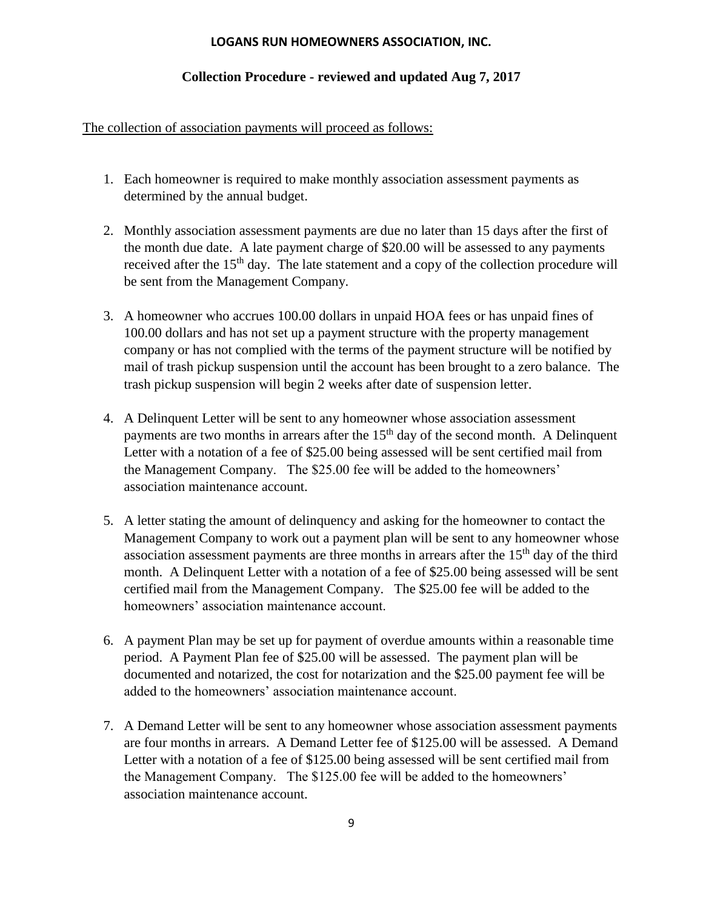## **LOGANS RUN HOMEOWNERS ASSOCIATION, INC.**

## **Collection Procedure - reviewed and updated Aug 7, 2017**

## The collection of association payments will proceed as follows:

- 1. Each homeowner is required to make monthly association assessment payments as determined by the annual budget.
- 2. Monthly association assessment payments are due no later than 15 days after the first of the month due date. A late payment charge of \$20.00 will be assessed to any payments received after the 15<sup>th</sup> day. The late statement and a copy of the collection procedure will be sent from the Management Company.
- 3. A homeowner who accrues 100.00 dollars in unpaid HOA fees or has unpaid fines of 100.00 dollars and has not set up a payment structure with the property management company or has not complied with the terms of the payment structure will be notified by mail of trash pickup suspension until the account has been brought to a zero balance. The trash pickup suspension will begin 2 weeks after date of suspension letter.
- 4. A Delinquent Letter will be sent to any homeowner whose association assessment payments are two months in arrears after the  $15<sup>th</sup>$  day of the second month. A Delinquent Letter with a notation of a fee of \$25.00 being assessed will be sent certified mail from the Management Company. The \$25.00 fee will be added to the homeowners' association maintenance account.
- 5. A letter stating the amount of delinquency and asking for the homeowner to contact the Management Company to work out a payment plan will be sent to any homeowner whose association assessment payments are three months in arrears after the  $15<sup>th</sup>$  day of the third month. A Delinquent Letter with a notation of a fee of \$25.00 being assessed will be sent certified mail from the Management Company. The \$25.00 fee will be added to the homeowners' association maintenance account.
- 6. A payment Plan may be set up for payment of overdue amounts within a reasonable time period. A Payment Plan fee of \$25.00 will be assessed. The payment plan will be documented and notarized, the cost for notarization and the \$25.00 payment fee will be added to the homeowners' association maintenance account.
- 7. A Demand Letter will be sent to any homeowner whose association assessment payments are four months in arrears. A Demand Letter fee of \$125.00 will be assessed. A Demand Letter with a notation of a fee of \$125.00 being assessed will be sent certified mail from the Management Company. The \$125.00 fee will be added to the homeowners' association maintenance account.